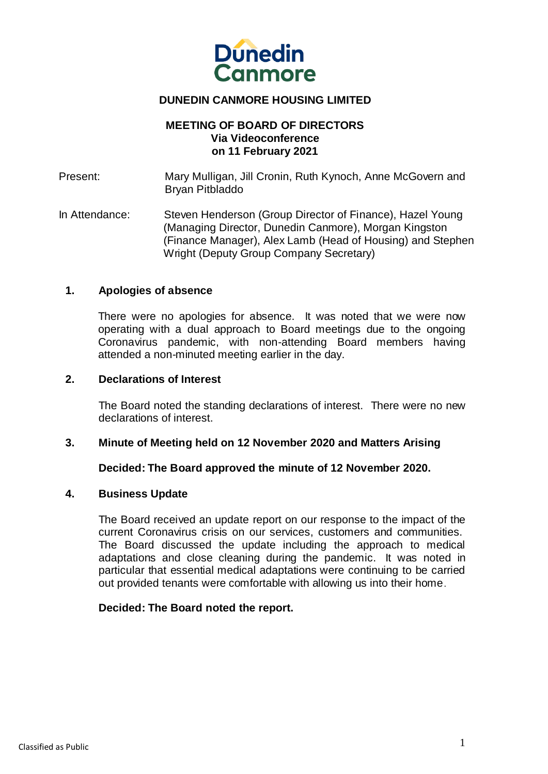

# **DUNEDIN CANMORE HOUSING LIMITED**

#### **MEETING OF BOARD OF DIRECTORS Via Videoconference on 11 February 2021**

Present: Mary Mulligan, Jill Cronin, Ruth Kynoch, Anne McGovern and Bryan Pitbladdo

In Attendance: Steven Henderson (Group Director of Finance), Hazel Young (Managing Director, Dunedin Canmore), Morgan Kingston (Finance Manager), Alex Lamb (Head of Housing) and Stephen Wright (Deputy Group Company Secretary)

#### **1. Apologies of absence**

There were no apologies for absence. It was noted that we were now operating with a dual approach to Board meetings due to the ongoing Coronavirus pandemic, with non-attending Board members having attended a non-minuted meeting earlier in the day.

#### **2. Declarations of Interest**

The Board noted the standing declarations of interest. There were no new declarations of interest.

## **3. Minute of Meeting held on 12 November 2020 and Matters Arising**

#### **Decided: The Board approved the minute of 12 November 2020.**

#### **4. Business Update**

The Board received an update report on our response to the impact of the current Coronavirus crisis on our services, customers and communities. The Board discussed the update including the approach to medical adaptations and close cleaning during the pandemic. It was noted in particular that essential medical adaptations were continuing to be carried out provided tenants were comfortable with allowing us into their home.

## **Decided: The Board noted the report.**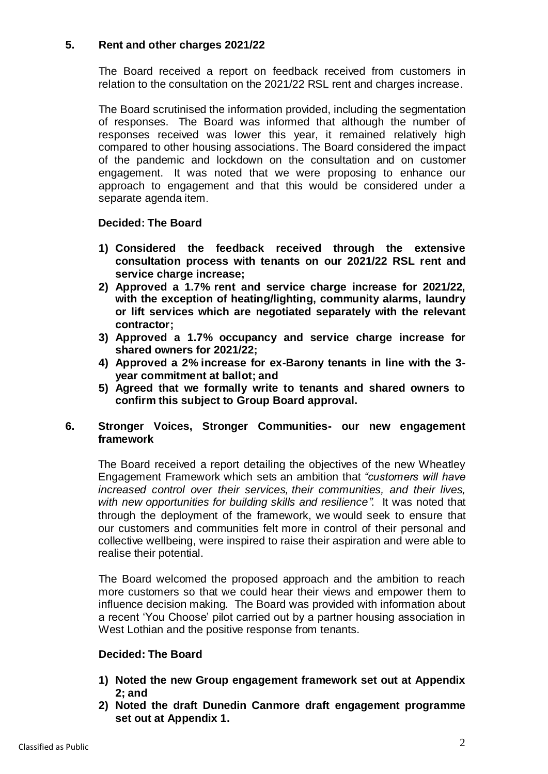# **5. Rent and other charges 2021/22**

The Board received a report on feedback received from customers in relation to the consultation on the 2021/22 RSL rent and charges increase.

The Board scrutinised the information provided, including the segmentation of responses. The Board was informed that although the number of responses received was lower this year, it remained relatively high compared to other housing associations. The Board considered the impact of the pandemic and lockdown on the consultation and on customer engagement. It was noted that we were proposing to enhance our approach to engagement and that this would be considered under a separate agenda item.

## **Decided: The Board**

- **1) Considered the feedback received through the extensive consultation process with tenants on our 2021/22 RSL rent and service charge increase;**
- **2) Approved a 1.7% rent and service charge increase for 2021/22, with the exception of heating/lighting, community alarms, laundry or lift services which are negotiated separately with the relevant contractor;**
- **3) Approved a 1.7% occupancy and service charge increase for shared owners for 2021/22;**
- **4) Approved a 2% increase for ex-Barony tenants in line with the 3 year commitment at ballot; and**
- **5) Agreed that we formally write to tenants and shared owners to confirm this subject to Group Board approval.**

## **6. Stronger Voices, Stronger Communities- our new engagement framework**

The Board received a report detailing the objectives of the new Wheatley Engagement Framework which sets an ambition that *"customers will have increased control over their services, their communities, and their lives, with new opportunities for building skills and resilience"*. It was noted that through the deployment of the framework, we would seek to ensure that our customers and communities felt more in control of their personal and collective wellbeing, were inspired to raise their aspiration and were able to realise their potential.

The Board welcomed the proposed approach and the ambition to reach more customers so that we could hear their views and empower them to influence decision making. The Board was provided with information about a recent 'You Choose' pilot carried out by a partner housing association in West Lothian and the positive response from tenants.

## **Decided: The Board**

- **1) Noted the new Group engagement framework set out at Appendix 2; and**
- **2) Noted the draft Dunedin Canmore draft engagement programme set out at Appendix 1.**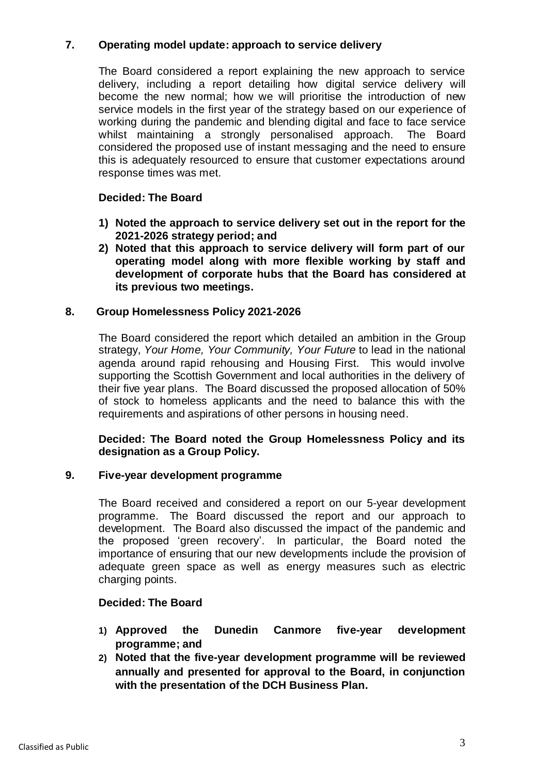# **7. Operating model update: approach to service delivery**

The Board considered a report explaining the new approach to service delivery, including a report detailing how digital service delivery will become the new normal; how we will prioritise the introduction of new service models in the first year of the strategy based on our experience of working during the pandemic and blending digital and face to face service whilst maintaining a strongly personalised approach. The Board considered the proposed use of instant messaging and the need to ensure this is adequately resourced to ensure that customer expectations around response times was met.

## **Decided: The Board**

- **1) Noted the approach to service delivery set out in the report for the 2021-2026 strategy period; and**
- **2) Noted that this approach to service delivery will form part of our operating model along with more flexible working by staff and development of corporate hubs that the Board has considered at its previous two meetings.**

## **8. Group Homelessness Policy 2021-2026**

The Board considered the report which detailed an ambition in the Group strategy, *Your Home, Your Community, Your Future* to lead in the national agenda around rapid rehousing and Housing First. This would involve supporting the Scottish Government and local authorities in the delivery of their five year plans. The Board discussed the proposed allocation of 50% of stock to homeless applicants and the need to balance this with the requirements and aspirations of other persons in housing need.

#### **Decided: The Board noted the Group Homelessness Policy and its designation as a Group Policy.**

## **9. Five-year development programme**

The Board received and considered a report on our 5-year development programme. The Board discussed the report and our approach to development. The Board also discussed the impact of the pandemic and the proposed 'green recovery'. In particular, the Board noted the importance of ensuring that our new developments include the provision of adequate green space as well as energy measures such as electric charging points.

## **Decided: The Board**

- **1) Approved the Dunedin Canmore five-year development programme; and**
- **2) Noted that the five-year development programme will be reviewed annually and presented for approval to the Board, in conjunction with the presentation of the DCH Business Plan.**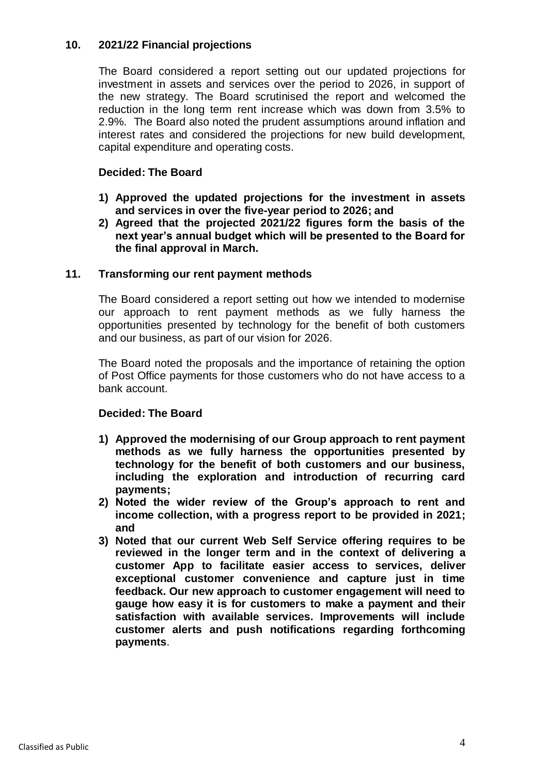## **10. 2021/22 Financial projections**

The Board considered a report setting out our updated projections for investment in assets and services over the period to 2026, in support of the new strategy. The Board scrutinised the report and welcomed the reduction in the long term rent increase which was down from 3.5% to 2.9%. The Board also noted the prudent assumptions around inflation and interest rates and considered the projections for new build development, capital expenditure and operating costs.

# **Decided: The Board**

- **1) Approved the updated projections for the investment in assets and services in over the five-year period to 2026; and**
- **2) Agreed that the projected 2021/22 figures form the basis of the next year's annual budget which will be presented to the Board for the final approval in March.**

# **11. Transforming our rent payment methods**

The Board considered a report setting out how we intended to modernise our approach to rent payment methods as we fully harness the opportunities presented by technology for the benefit of both customers and our business, as part of our vision for 2026.

The Board noted the proposals and the importance of retaining the option of Post Office payments for those customers who do not have access to a bank account.

## **Decided: The Board**

- **1) Approved the modernising of our Group approach to rent payment methods as we fully harness the opportunities presented by technology for the benefit of both customers and our business, including the exploration and introduction of recurring card payments;**
- **2) Noted the wider review of the Group's approach to rent and income collection, with a progress report to be provided in 2021; and**
- **3) Noted that our current Web Self Service offering requires to be reviewed in the longer term and in the context of delivering a customer App to facilitate easier access to services, deliver exceptional customer convenience and capture just in time feedback. Our new approach to customer engagement will need to gauge how easy it is for customers to make a payment and their satisfaction with available services. Improvements will include customer alerts and push notifications regarding forthcoming payments**.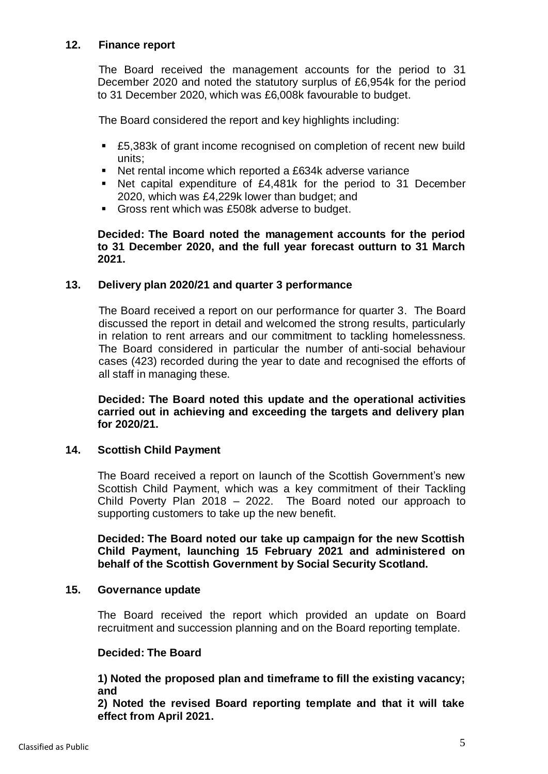# **12. Finance report**

The Board received the management accounts for the period to 31 December 2020 and noted the statutory surplus of £6,954k for the period to 31 December 2020, which was £6,008k favourable to budget.

The Board considered the report and key highlights including:

- £5,383k of grant income recognised on completion of recent new build units;
- Net rental income which reported a £634k adverse variance
- Net capital expenditure of £4,481k for the period to 31 December 2020, which was £4,229k lower than budget; and
- Gross rent which was £508k adverse to budget.

**Decided: The Board noted the management accounts for the period to 31 December 2020, and the full year forecast outturn to 31 March 2021.**

## **13. Delivery plan 2020/21 and quarter 3 performance**

The Board received a report on our performance for quarter 3. The Board discussed the report in detail and welcomed the strong results, particularly in relation to rent arrears and our commitment to tackling homelessness. The Board considered in particular the number of anti-social behaviour cases (423) recorded during the year to date and recognised the efforts of all staff in managing these.

**Decided: The Board noted this update and the operational activities carried out in achieving and exceeding the targets and delivery plan for 2020/21.**

## **14. Scottish Child Payment**

The Board received a report on launch of the Scottish Government's new Scottish Child Payment, which was a key commitment of their Tackling Child Poverty Plan 2018 – 2022. The Board noted our approach to supporting customers to take up the new benefit.

**Decided: The Board noted our take up campaign for the new Scottish Child Payment, launching 15 February 2021 and administered on behalf of the Scottish Government by Social Security Scotland.**

#### **15. Governance update**

The Board received the report which provided an update on Board recruitment and succession planning and on the Board reporting template.

#### **Decided: The Board**

**1) Noted the proposed plan and timeframe to fill the existing vacancy; and**

**2) Noted the revised Board reporting template and that it will take effect from April 2021.**